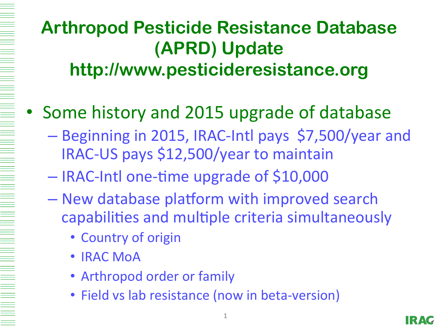### **Arthropod Pesticide Resistance Database (APRD) Update http://www.pesticideresistance.org**

- Some history and 2015 upgrade of database
	- Beginning in 2015, IRAC-Intl pays \$7,500/year and IRAC-US pays \$12,500/year to maintain
	- $-$  IRAC-Intl one-time upgrade of \$10,000
	- New database platform with improved search capabilities and multiple criteria simultaneously
		- Country of origin
		- **IRAC MoA**
		- Arthropod order or family
		- Field vs lab resistance (now in beta-version)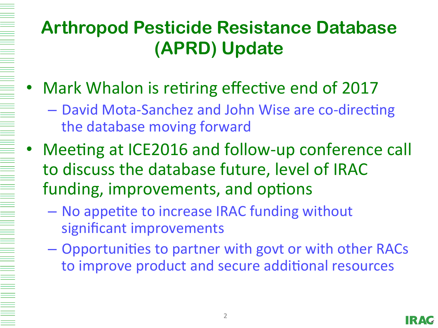# **Arthropod Pesticide Resistance Database (APRD) Update**

- Mark Whalon is retiring effective end of 2017
	- David Mota-Sanchez and John Wise are co-directing the database moving forward
- Meeting at ICE2016 and follow-up conference call to discuss the database future, level of IRAC funding, improvements, and options
	- No appetite to increase IRAC funding without significant improvements
	- Opportunities to partner with govt or with other RACs to improve product and secure additional resources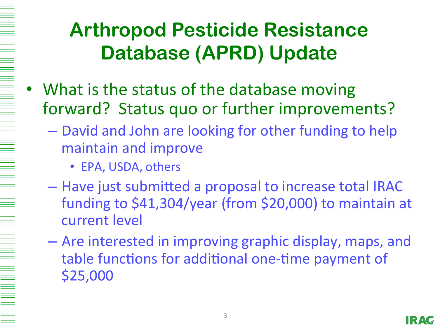## **Arthropod Pesticide Resistance Database (APRD) Update**

- What is the status of the database moving forward? Status quo or further improvements?
	- $-$  David and John are looking for other funding to help maintain and improve
		- EPA, USDA, others
	- $-$  Have just submitted a proposal to increase total IRAC funding to \$41,304/year (from \$20,000) to maintain at current level
	- $-$  Are interested in improving graphic display, maps, and table functions for additional one-time payment of \$25,000